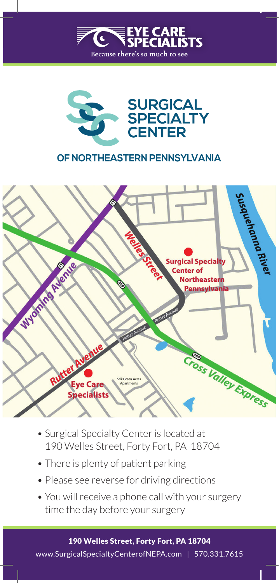



### OF NORTHEASTERN PENNSYLVANIA



- Surgical Specialty Center is located at 190 Welles Street, Forty Fort, PA 18704
- There is plenty of patient parking
- Please see reverse for driving directions
- You will receive a phone call with your surgery time the day before your surgery

190 Welles Street, Forty Fort, PA 18704 www.SurgicalSpecialtyCenterofNEPA.com | 570.331.7615